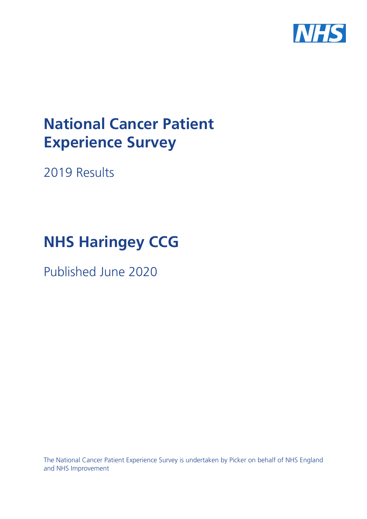

# **National Cancer Patient Experience Survey**

2019 Results

# **NHS Haringey CCG**

Published June 2020

The National Cancer Patient Experience Survey is undertaken by Picker on behalf of NHS England and NHS Improvement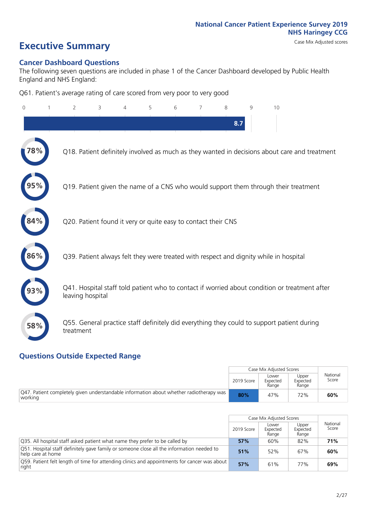# **Executive Summary** Case Mix Adjusted scores

#### **Cancer Dashboard Questions**

The following seven questions are included in phase 1 of the Cancer Dashboard developed by Public Health England and NHS England:

Q61. Patient's average rating of care scored from very poor to very good

| 0   | $\overline{2}$                                                | 3 | 4 | 5 | 6 | 7 | 8   | $\mathsf{Q}$ | 10                                                                                            |
|-----|---------------------------------------------------------------|---|---|---|---|---|-----|--------------|-----------------------------------------------------------------------------------------------|
|     |                                                               |   |   |   |   |   | 8.7 |              |                                                                                               |
| 8%  |                                                               |   |   |   |   |   |     |              | Q18. Patient definitely involved as much as they wanted in decisions about care and treatment |
|     |                                                               |   |   |   |   |   |     |              | Q19. Patient given the name of a CNS who would support them through their treatment           |
| 84% | Q20. Patient found it very or quite easy to contact their CNS |   |   |   |   |   |     |              |                                                                                               |
| 86% |                                                               |   |   |   |   |   |     |              | Q39. Patient always felt they were treated with respect and dignity while in hospital         |
|     | leaving hospital                                              |   |   |   |   |   |     |              | Q41. Hospital staff told patient who to contact if worried about condition or treatment after |
| 58% | treatment                                                     |   |   |   |   |   |     |              | Q55. General practice staff definitely did everything they could to support patient during    |

#### **Questions Outside Expected Range**

|                                                                                                    |            | Case Mix Adjusted Scores   |                            |                   |
|----------------------------------------------------------------------------------------------------|------------|----------------------------|----------------------------|-------------------|
|                                                                                                    | 2019 Score | Lower<br>Expected<br>Range | Upper<br>Expected<br>Range | National<br>Score |
| Q47. Patient completely given understandable information about whether radiotherapy was<br>working | 80%        | 47%                        | 72%                        | 60%               |

|                                                                                                                |            | Case Mix Adjusted Scores   |                            |                   |
|----------------------------------------------------------------------------------------------------------------|------------|----------------------------|----------------------------|-------------------|
|                                                                                                                | 2019 Score | Lower<br>Expected<br>Range | Upper<br>Expected<br>Range | National<br>Score |
| Q35. All hospital staff asked patient what name they prefer to be called by                                    | 57%        | 60%                        | 82%                        | 71%               |
| Q51. Hospital staff definitely gave family or someone close all the information needed to<br>help care at home | 51%        | 52%                        | 67%                        | 60%               |
| Q59. Patient felt length of time for attending clinics and appointments for cancer was about<br>right          | 57%        | 61%                        | 77%                        | 69%               |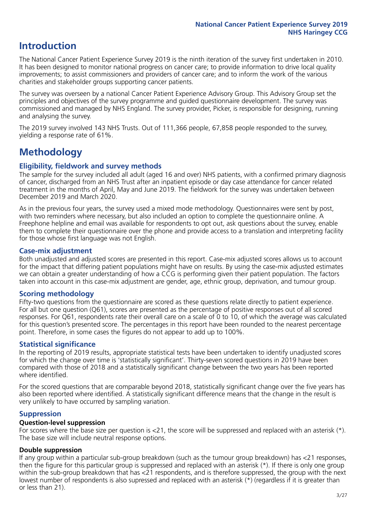# **Introduction**

The National Cancer Patient Experience Survey 2019 is the ninth iteration of the survey first undertaken in 2010. It has been designed to monitor national progress on cancer care; to provide information to drive local quality improvements; to assist commissioners and providers of cancer care; and to inform the work of the various charities and stakeholder groups supporting cancer patients.

The survey was overseen by a national Cancer Patient Experience Advisory Group. This Advisory Group set the principles and objectives of the survey programme and guided questionnaire development. The survey was commissioned and managed by NHS England. The survey provider, Picker, is responsible for designing, running and analysing the survey.

The 2019 survey involved 143 NHS Trusts. Out of 111,366 people, 67,858 people responded to the survey, yielding a response rate of 61%.

# **Methodology**

#### **Eligibility, eldwork and survey methods**

The sample for the survey included all adult (aged 16 and over) NHS patients, with a confirmed primary diagnosis of cancer, discharged from an NHS Trust after an inpatient episode or day case attendance for cancer related treatment in the months of April, May and June 2019. The fieldwork for the survey was undertaken between December 2019 and March 2020.

As in the previous four years, the survey used a mixed mode methodology. Questionnaires were sent by post, with two reminders where necessary, but also included an option to complete the questionnaire online. A Freephone helpline and email was available for respondents to opt out, ask questions about the survey, enable them to complete their questionnaire over the phone and provide access to a translation and interpreting facility for those whose first language was not English.

#### **Case-mix adjustment**

Both unadjusted and adjusted scores are presented in this report. Case-mix adjusted scores allows us to account for the impact that differing patient populations might have on results. By using the case-mix adjusted estimates we can obtain a greater understanding of how a CCG is performing given their patient population. The factors taken into account in this case-mix adjustment are gender, age, ethnic group, deprivation, and tumour group.

#### **Scoring methodology**

Fifty-two questions from the questionnaire are scored as these questions relate directly to patient experience. For all but one question (Q61), scores are presented as the percentage of positive responses out of all scored responses. For Q61, respondents rate their overall care on a scale of 0 to 10, of which the average was calculated for this question's presented score. The percentages in this report have been rounded to the nearest percentage point. Therefore, in some cases the figures do not appear to add up to 100%.

#### **Statistical significance**

In the reporting of 2019 results, appropriate statistical tests have been undertaken to identify unadjusted scores for which the change over time is 'statistically significant'. Thirty-seven scored questions in 2019 have been compared with those of 2018 and a statistically significant change between the two years has been reported where identified.

For the scored questions that are comparable beyond 2018, statistically significant change over the five years has also been reported where identified. A statistically significant difference means that the change in the result is very unlikely to have occurred by sampling variation.

#### **Suppression**

#### **Question-level suppression**

For scores where the base size per question is  $<$ 21, the score will be suppressed and replaced with an asterisk (\*). The base size will include neutral response options.

#### **Double suppression**

If any group within a particular sub-group breakdown (such as the tumour group breakdown) has <21 responses, then the figure for this particular group is suppressed and replaced with an asterisk (\*). If there is only one group within the sub-group breakdown that has <21 respondents, and is therefore suppressed, the group with the next lowest number of respondents is also supressed and replaced with an asterisk (\*) (regardless if it is greater than or less than 21).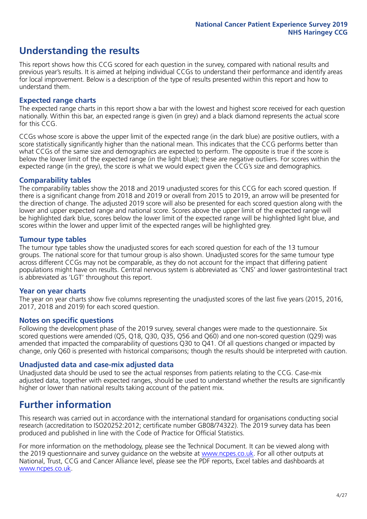# **Understanding the results**

This report shows how this CCG scored for each question in the survey, compared with national results and previous year's results. It is aimed at helping individual CCGs to understand their performance and identify areas for local improvement. Below is a description of the type of results presented within this report and how to understand them.

#### **Expected range charts**

The expected range charts in this report show a bar with the lowest and highest score received for each question nationally. Within this bar, an expected range is given (in grey) and a black diamond represents the actual score for this CCG.

CCGs whose score is above the upper limit of the expected range (in the dark blue) are positive outliers, with a score statistically significantly higher than the national mean. This indicates that the CCG performs better than what CCGs of the same size and demographics are expected to perform. The opposite is true if the score is below the lower limit of the expected range (in the light blue); these are negative outliers. For scores within the expected range (in the grey), the score is what we would expect given the CCG's size and demographics.

#### **Comparability tables**

The comparability tables show the 2018 and 2019 unadjusted scores for this CCG for each scored question. If there is a significant change from 2018 and 2019 or overall from 2015 to 2019, an arrow will be presented for the direction of change. The adjusted 2019 score will also be presented for each scored question along with the lower and upper expected range and national score. Scores above the upper limit of the expected range will be highlighted dark blue, scores below the lower limit of the expected range will be highlighted light blue, and scores within the lower and upper limit of the expected ranges will be highlighted grey.

#### **Tumour type tables**

The tumour type tables show the unadjusted scores for each scored question for each of the 13 tumour groups. The national score for that tumour group is also shown. Unadjusted scores for the same tumour type across different CCGs may not be comparable, as they do not account for the impact that differing patient populations might have on results. Central nervous system is abbreviated as 'CNS' and lower gastrointestinal tract is abbreviated as 'LGT' throughout this report.

#### **Year on year charts**

The year on year charts show five columns representing the unadjusted scores of the last five years (2015, 2016, 2017, 2018 and 2019) for each scored question.

#### **Notes on specific questions**

Following the development phase of the 2019 survey, several changes were made to the questionnaire. Six scored questions were amended (Q5, Q18, Q30, Q35, Q56 and Q60) and one non-scored question (Q29) was amended that impacted the comparability of questions Q30 to Q41. Of all questions changed or impacted by change, only Q60 is presented with historical comparisons; though the results should be interpreted with caution.

#### **Unadjusted data and case-mix adjusted data**

Unadjusted data should be used to see the actual responses from patients relating to the CCG. Case-mix adjusted data, together with expected ranges, should be used to understand whether the results are significantly higher or lower than national results taking account of the patient mix.

### **Further information**

This research was carried out in accordance with the international standard for organisations conducting social research (accreditation to ISO20252:2012; certificate number GB08/74322). The 2019 survey data has been produced and published in line with the Code of Practice for Official Statistics.

For more information on the methodology, please see the Technical Document. It can be viewed along with the 2019 questionnaire and survey quidance on the website at [www.ncpes.co.uk](https://www.ncpes.co.uk/supporting-documents). For all other outputs at National, Trust, CCG and Cancer Alliance level, please see the PDF reports, Excel tables and dashboards at [www.ncpes.co.uk.](https://www.ncpes.co.uk/current-results)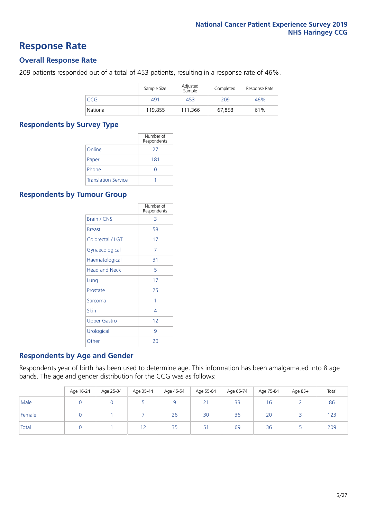### **Response Rate**

#### **Overall Response Rate**

209 patients responded out of a total of 453 patients, resulting in a response rate of 46%.

|          | Sample Size | Adjusted<br>Sample | Completed | Response Rate |
|----------|-------------|--------------------|-----------|---------------|
| CCG      | 491         | 453                | 209       | 46%           |
| National | 119,855     | 111.366            | 67,858    | 61%           |

#### **Respondents by Survey Type**

|                            | Number of<br>Respondents |
|----------------------------|--------------------------|
| Online                     | 27                       |
| Paper                      | 181                      |
| Phone                      | 0                        |
| <b>Translation Service</b> |                          |

#### **Respondents by Tumour Group**

|                      | Number of<br>Respondents |
|----------------------|--------------------------|
| <b>Brain / CNS</b>   | 3                        |
| <b>Breast</b>        | 58                       |
| Colorectal / LGT     | 17                       |
| Gynaecological       | 7                        |
| Haematological       | 31                       |
| <b>Head and Neck</b> | 5                        |
| Lung                 | 17                       |
| Prostate             | 25                       |
| Sarcoma              | 1                        |
| Skin                 | 4                        |
| <b>Upper Gastro</b>  | 12                       |
| Urological           | q                        |
| Other                | 20                       |

#### **Respondents by Age and Gender**

Respondents year of birth has been used to determine age. This information has been amalgamated into 8 age bands. The age and gender distribution for the CCG was as follows:

|        | Age 16-24 | Age 25-34 | Age 35-44 | Age 45-54 | Age 55-64 | Age 65-74 | Age 75-84 | Age 85+ | Total |
|--------|-----------|-----------|-----------|-----------|-----------|-----------|-----------|---------|-------|
| Male   |           |           |           |           | 21        | 33        | . 6       |         | 86    |
| Female |           |           |           | 26        | 30        | 36        | 20        |         | 123   |
| Total  |           |           | 12        | 35        | 51        | 69        | 36        |         | 209   |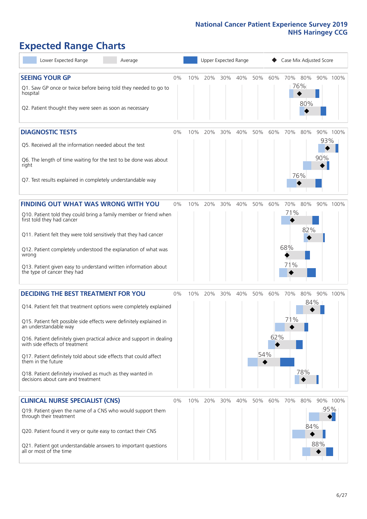# **Expected Range Charts**

| Lower Expected Range<br>Average                                                                                                                                                                                                                                                                                                                                                                                                                                                                                             |       |     | Upper Expected Range |     |     |            |            | Case Mix Adjusted Score  |                   |            |                             |
|-----------------------------------------------------------------------------------------------------------------------------------------------------------------------------------------------------------------------------------------------------------------------------------------------------------------------------------------------------------------------------------------------------------------------------------------------------------------------------------------------------------------------------|-------|-----|----------------------|-----|-----|------------|------------|--------------------------|-------------------|------------|-----------------------------|
| <b>SEEING YOUR GP</b><br>Q1. Saw GP once or twice before being told they needed to go to<br>hospital<br>Q2. Patient thought they were seen as soon as necessary                                                                                                                                                                                                                                                                                                                                                             | $0\%$ | 10% | 20%                  | 30% | 40% | 50%        | 60%        | 70%                      | 80%<br>76%<br>80% |            | 90% 100%                    |
| <b>DIAGNOSTIC TESTS</b><br>Q5. Received all the information needed about the test<br>Q6. The length of time waiting for the test to be done was about<br>right<br>Q7. Test results explained in completely understandable way                                                                                                                                                                                                                                                                                               | $0\%$ | 10% | 20%                  | 30% | 40% | 50%        | 60%        | 70%                      | 80%<br>76%        | 93%<br>90% | 90% 100%                    |
| <b>FINDING OUT WHAT WAS WRONG WITH YOU</b><br>Q10. Patient told they could bring a family member or friend when<br>first told they had cancer<br>Q11. Patient felt they were told sensitively that they had cancer<br>Q12. Patient completely understood the explanation of what was<br>wrong<br>Q13. Patient given easy to understand written information about<br>the type of cancer they had                                                                                                                             | 0%    | 10% | 20%                  | 30% | 40% | 50%        | 60%        | 70%<br>71%<br>68%<br>71% | 80%<br>82%        |            | 90% 100%                    |
| <b>DECIDING THE BEST TREATMENT FOR YOU</b><br>Q14. Patient felt that treatment options were completely explained<br>Q15. Patient felt possible side effects were definitely explained in<br>an understandable way<br>Q16. Patient definitely given practical advice and support in dealing<br>with side effects of treatment<br>Q17. Patient definitely told about side effects that could affect<br>them in the future<br>Q18. Patient definitely involved as much as they wanted in<br>decisions about care and treatment | 0%    | 10% | 20%                  | 30% | 40% | 50%<br>54% | 60%<br>62% | 70%<br>71%               | 80%<br>84%<br>78% |            | 90% 100%                    |
| <b>CLINICAL NURSE SPECIALIST (CNS)</b><br>Q19. Patient given the name of a CNS who would support them<br>through their treatment<br>Q20. Patient found it very or quite easy to contact their CNS<br>Q21. Patient got understandable answers to important questions<br>all or most of the time                                                                                                                                                                                                                              | $0\%$ | 10% | 20%                  | 30% | 40% | 50%        | 60%        | 70%                      | 80%<br>84%        | 95%<br>88% | 90% 100%<br>$\blacklozenge$ |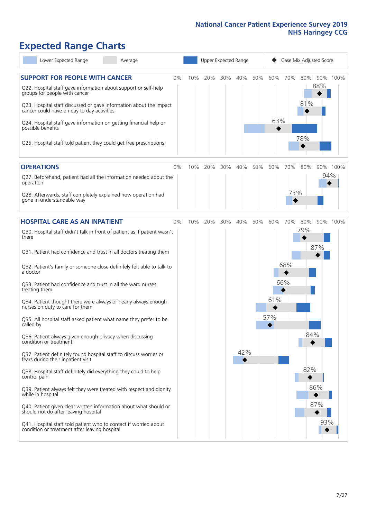# **Expected Range Charts**

| Lower Expected Range<br>Average                                                                                   |     | Upper Expected Range |     |     |     |     |     | Case Mix Adjusted Score |     |          |  |  |
|-------------------------------------------------------------------------------------------------------------------|-----|----------------------|-----|-----|-----|-----|-----|-------------------------|-----|----------|--|--|
| <b>SUPPORT FOR PEOPLE WITH CANCER</b><br>0%<br>Q22. Hospital staff gave information about support or self-help    | 10% | 20%                  | 30% | 40% | 50% | 60% | 70% | 80%                     | 88% | 90% 100% |  |  |
| groups for people with cancer<br>Q23. Hospital staff discussed or gave information about the impact               |     |                      |     |     |     |     |     | 81%                     |     |          |  |  |
| cancer could have on day to day activities                                                                        |     |                      |     |     |     | 63% |     |                         |     |          |  |  |
| Q24. Hospital staff gave information on getting financial help or<br>possible benefits                            |     |                      |     |     |     |     |     | 78%                     |     |          |  |  |
| Q25. Hospital staff told patient they could get free prescriptions                                                |     |                      |     |     |     |     |     |                         |     |          |  |  |
| <b>OPERATIONS</b><br>0%                                                                                           | 10% | 20%                  | 30% | 40% | 50% | 60% | 70% | 80%                     |     | 90% 100% |  |  |
| Q27. Beforehand, patient had all the information needed about the<br>operation                                    |     |                      |     |     |     |     |     |                         | 94% |          |  |  |
| Q28. Afterwards, staff completely explained how operation had<br>gone in understandable way                       |     |                      |     |     |     |     | 73% |                         |     |          |  |  |
| <b>HOSPITAL CARE AS AN INPATIENT</b><br>0%                                                                        | 10% | 20%                  | 30% | 40% | 50% | 60% | 70% | 80%                     |     | 90% 100% |  |  |
| Q30. Hospital staff didn't talk in front of patient as if patient wasn't<br>there                                 |     |                      |     |     |     |     |     | 79%                     |     |          |  |  |
| Q31. Patient had confidence and trust in all doctors treating them                                                |     |                      |     |     |     |     |     |                         | 87% |          |  |  |
| Q32. Patient's family or someone close definitely felt able to talk to<br>a doctor                                |     |                      |     |     |     |     | 68% |                         |     |          |  |  |
| Q33. Patient had confidence and trust in all the ward nurses<br>treating them                                     |     |                      |     |     |     |     | 66% |                         |     |          |  |  |
| Q34. Patient thought there were always or nearly always enough<br>nurses on duty to care for them                 |     |                      |     |     |     | 61% |     |                         |     |          |  |  |
| Q35. All hospital staff asked patient what name they prefer to be<br>called by                                    |     |                      |     |     |     | 57% |     |                         |     |          |  |  |
| Q36. Patient always given enough privacy when discussing<br>condition or treatment                                |     |                      |     |     |     |     |     | 84%                     |     |          |  |  |
| Q37. Patient definitely found hospital staff to discuss worries or<br>fears during their inpatient visit          |     |                      |     | 42% |     |     |     |                         |     |          |  |  |
| Q38. Hospital staff definitely did everything they could to help<br>control pain                                  |     |                      |     |     |     |     |     | 82%                     |     |          |  |  |
| Q39. Patient always felt they were treated with respect and dignity<br>while in hospital                          |     |                      |     |     |     |     |     |                         | 86% |          |  |  |
| Q40. Patient given clear written information about what should or<br>should not do after leaving hospital         |     |                      |     |     |     |     |     |                         | 87% |          |  |  |
| Q41. Hospital staff told patient who to contact if worried about<br>condition or treatment after leaving hospital |     |                      |     |     |     |     |     |                         | 93% |          |  |  |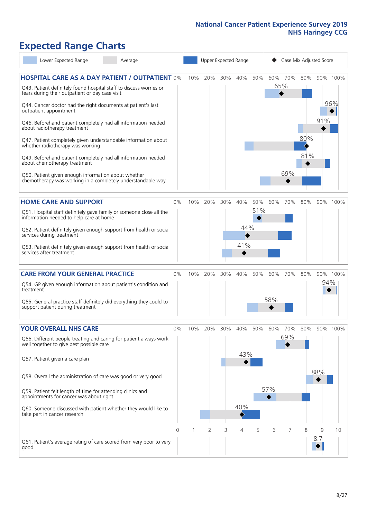# **Expected Range Charts**

|           | Lower Expected Range                                                                                  | Average                                                                                                                     |          |     | Upper Expected Range |     |     |     |     | Case Mix Adjusted Score |     |          |          |
|-----------|-------------------------------------------------------------------------------------------------------|-----------------------------------------------------------------------------------------------------------------------------|----------|-----|----------------------|-----|-----|-----|-----|-------------------------|-----|----------|----------|
|           | fears during their outpatient or day case visit                                                       | <b>HOSPITAL CARE AS A DAY PATIENT / OUTPATIENT 0%</b><br>Q43. Patient definitely found hospital staff to discuss worries or |          | 10% | 20%                  | 30% | 40% | 50% |     | 60% 70%<br>65%<br>◆     | 80% |          | 90% 100% |
|           | Q44. Cancer doctor had the right documents at patient's last<br>outpatient appointment                |                                                                                                                             |          |     |                      |     |     |     |     |                         |     |          | 96%      |
|           | about radiotherapy treatment                                                                          | Q46. Beforehand patient completely had all information needed                                                               |          |     |                      |     |     |     |     |                         |     | 91%      |          |
|           | whether radiotherapy was working                                                                      | Q47. Patient completely given understandable information about                                                              |          |     |                      |     |     |     |     |                         | 80% |          |          |
|           | about chemotherapy treatment                                                                          | Q49. Beforehand patient completely had all information needed                                                               |          |     |                      |     |     |     |     | 69%                     | 81% |          |          |
|           | Q50. Patient given enough information about whether                                                   | chemotherapy was working in a completely understandable way                                                                 |          |     |                      |     |     |     |     |                         |     |          |          |
|           | <b>HOME CARE AND SUPPORT</b>                                                                          |                                                                                                                             | 0%       | 10% | 20%                  | 30% | 40% | 50% | 60% | 70%                     | 80% |          | 90% 100% |
|           | information needed to help care at home                                                               | Q51. Hospital staff definitely gave family or someone close all the                                                         |          |     |                      |     |     | 51% |     |                         |     |          |          |
|           | services during treatment                                                                             | Q52. Patient definitely given enough support from health or social                                                          |          |     |                      |     | 44% |     |     |                         |     |          |          |
|           | services after treatment                                                                              | Q53. Patient definitely given enough support from health or social                                                          |          |     |                      |     | 41% |     |     |                         |     |          |          |
|           | <b>CARE FROM YOUR GENERAL PRACTICE</b>                                                                |                                                                                                                             | 0%       | 10% | 20%                  | 30% | 40% | 50% | 60% | 70%                     | 80% |          | 90% 100% |
| treatment |                                                                                                       | Q54. GP given enough information about patient's condition and                                                              |          |     |                      |     |     |     |     |                         |     | 94%      |          |
|           | support patient during treatment                                                                      | Q55. General practice staff definitely did everything they could to                                                         |          |     |                      |     |     |     | 58% |                         |     |          |          |
|           | <b>YOUR OVERALL NHS CARE</b>                                                                          |                                                                                                                             | $0\%$    | 10% | 20%                  | 30% | 40% | 50% | 60% | 70%                     | 80% |          | 90% 100% |
|           | well together to give best possible care                                                              | Q56. Different people treating and caring for patient always work                                                           |          |     |                      |     | 43% |     |     | 69%                     |     |          |          |
|           | Q57. Patient given a care plan                                                                        |                                                                                                                             |          |     |                      |     |     |     |     |                         |     | 88%      |          |
|           | Q58. Overall the administration of care was good or very good                                         |                                                                                                                             |          |     |                      |     |     |     | 57% |                         |     |          |          |
|           | Q59. Patient felt length of time for attending clinics and<br>appointments for cancer was about right |                                                                                                                             |          |     |                      |     |     |     | ◆   |                         |     |          |          |
|           | take part in cancer research                                                                          | Q60. Someone discussed with patient whether they would like to                                                              |          |     |                      |     | 40% |     |     |                         |     |          |          |
|           |                                                                                                       |                                                                                                                             | $\Omega$ |     | $\overline{2}$       | 3   | 4   | 5   | 6   | 7                       | 8   | 9<br>8.7 | 10       |
| good      |                                                                                                       | Q61. Patient's average rating of care scored from very poor to very                                                         |          |     |                      |     |     |     |     |                         |     |          |          |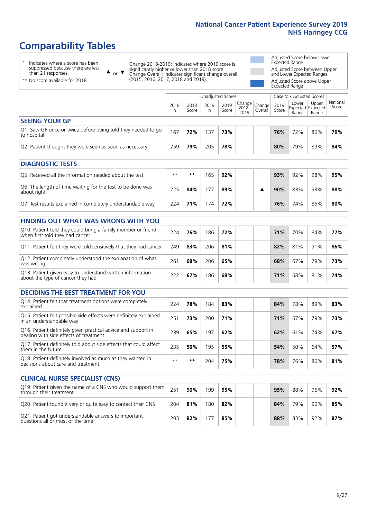# **Comparability Tables**

\* Indicates where a score has been suppressed because there are less than 21 responses.

\*\* No score available for 2018.

or  $\blacktriangledown$  $\blacktriangle$ 

Change 2018-2019: Indicates where 2019 score is significantly higher or lower than 2018 score Change Overall: Indicates significant change overall (2015, 2016, 2017, 2018 and 2019).

Adjusted Score below Lower Expected Range Adjusted Score between Upper and Lower Expected Ranges Adjusted Score above Upper

Expected Range

|                                                                             |           |               | <b>Unadjusted Scores</b> |               |                         |                   |               | Case Mix Adjusted Scores            |                |                   |
|-----------------------------------------------------------------------------|-----------|---------------|--------------------------|---------------|-------------------------|-------------------|---------------|-------------------------------------|----------------|-------------------|
|                                                                             | 2018<br>n | 2018<br>Score | 2019<br>n                | 2019<br>Score | Change<br>2018-<br>2019 | Change<br>Overall | 2019<br>Score | Lower<br>Expected Expected<br>Range | Upper<br>Range | National<br>Score |
| <b>SEEING YOUR GP</b>                                                       |           |               |                          |               |                         |                   |               |                                     |                |                   |
| Q1. Saw GP once or twice before being told they needed to go<br>to hospital | 167       | 72%           | 137                      | 73%           |                         |                   | 76%           | 72%                                 | 86%            | 79%               |
| Q2. Patient thought they were seen as soon as necessary                     | 259       | 79%           | 205                      | 78%           |                         |                   | 80%           | 79%                                 | 89%            | 84%               |
|                                                                             |           |               |                          |               |                         |                   |               |                                     |                |                   |
| <b>DIAGNOSTIC TESTS</b>                                                     |           |               |                          |               |                         |                   |               |                                     |                |                   |
| O5. Received all the information needed about the test                      | $**$      | $* *$         | 165                      | 92%           |                         |                   | 93%           | 92%                                 | 98%            | 95%               |
| Q6. The length of time waiting for the test to be done was<br>about right   | 225       | 84%           | 177                      | 89%           |                         | ▲                 | 90%           | 83%                                 | 93%            | 88%               |
| Q7. Test results explained in completely understandable way                 | 224       | 71%           | 174                      | 72%           |                         |                   | 76%           | 74%                                 | 86%            | 80%               |

| <b>FINDING OUT WHAT WAS WRONG WITH YOU</b>                                                      |     |     |     |     |  |     |     |     |     |
|-------------------------------------------------------------------------------------------------|-----|-----|-----|-----|--|-----|-----|-----|-----|
| Q10. Patient told they could bring a family member or friend<br>when first told they had cancer | 224 | 76% | 186 | 72% |  | 71% | 70% | 84% | 77% |
| Q11. Patient felt they were told sensitively that they had cancer                               | 249 | 83% | 206 | 81% |  | 82% | 81% | 91% | 86% |
| Q12. Patient completely understood the explanation of what<br>was wrong                         | 261 | 68% | 206 | 65% |  | 68% | 67% | 79% | 73% |
| Q13. Patient given easy to understand written information<br>about the type of cancer they had  | 222 | 67% | 186 | 68% |  | 71% | 68% | 81% | 74% |

| <b>DECIDING THE BEST TREATMENT FOR YOU</b>                                                              |      |     |     |     |  |     |     |     |     |
|---------------------------------------------------------------------------------------------------------|------|-----|-----|-----|--|-----|-----|-----|-----|
| Q14. Patient felt that treatment options were completely<br>explained                                   | 224  | 78% | 184 | 83% |  | 84% | 78% | 89% | 83% |
| Q15. Patient felt possible side effects were definitely explained<br>in an understandable way           | 251  | 73% | 200 | 71% |  | 71% | 67% | 79% | 73% |
| Q16. Patient definitely given practical advice and support in<br>dealing with side effects of treatment | 239  | 65% | 197 | 62% |  | 62% | 61% | 74% | 67% |
| Q17. Patient definitely told about side effects that could affect<br>them in the future                 | 235  | 56% | 195 | 55% |  | 54% | 50% | 64% | 57% |
| Q18. Patient definitely involved as much as they wanted in<br>decisions about care and treatment        | $**$ | **  | 204 | 75% |  | 78% | 76% | 86% | 81% |

| <b>CLINICAL NURSE SPECIALIST (CNS)</b>                                                    |     |     |     |     |     |     |     |     |
|-------------------------------------------------------------------------------------------|-----|-----|-----|-----|-----|-----|-----|-----|
| Q19. Patient given the name of a CNS who would support them<br>through their treatment    | 251 | 90% | 199 | 95% | 95% | 88% | 96% | 92% |
| Q20. Patient found it very or quite easy to contact their CNS                             | 204 | 81% | 180 | 82% | 84% | 79% | 90% | 85% |
| Q21. Patient got understandable answers to important<br>questions all or most of the time | 203 | 82% |     | 85% | 88% | 83% | 92% | 87% |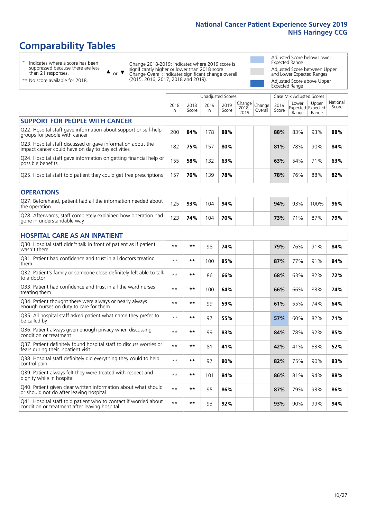# **Comparability Tables**

\* Indicates where a score has been suppressed because there are less than 21 responses.

\*\* No score available for 2018.

 $\triangle$  or  $\nabla$ 

Change 2018-2019: Indicates where 2019 score is significantly higher or lower than 2018 score Change Overall: Indicates significant change overall (2015, 2016, 2017, 2018 and 2019).

Adjusted Score below Lower Expected Range Adjusted Score between Upper and Lower Expected Ranges Adjusted Score above Upper Expected Range

|                                                                                                                   |              |               |           | <b>Unadjusted Scores</b> |                         |                   |               | Case Mix Adjusted Scores |                                     |                   |
|-------------------------------------------------------------------------------------------------------------------|--------------|---------------|-----------|--------------------------|-------------------------|-------------------|---------------|--------------------------|-------------------------------------|-------------------|
|                                                                                                                   | 2018<br>n.   | 2018<br>Score | 2019<br>n | 2019<br>Score            | Change<br>2018-<br>2019 | Change<br>Overall | 2019<br>Score | Lower<br>Range           | Upper<br>Expected Expected<br>Range | National<br>Score |
| <b>SUPPORT FOR PEOPLE WITH CANCER</b>                                                                             |              |               |           |                          |                         |                   |               |                          |                                     |                   |
| Q22. Hospital staff gave information about support or self-help<br>groups for people with cancer                  | 200          | 84%           | 178       | 88%                      |                         |                   | 88%           | 83%                      | 93%                                 | 88%               |
| Q23. Hospital staff discussed or gave information about the<br>impact cancer could have on day to day activities  | 182          | 75%           | 157       | 80%                      |                         |                   | 81%           | 78%                      | 90%                                 | 84%               |
| Q24. Hospital staff gave information on getting financial help or<br>possible benefits                            | 155          | 58%           | 132       | 63%                      |                         |                   | 63%           | 54%                      | 71%                                 | 63%               |
| Q25. Hospital staff told patient they could get free prescriptions                                                | 157          | 76%           | 139       | 78%                      |                         |                   | 78%           | 76%                      | 88%                                 | 82%               |
| <b>OPERATIONS</b>                                                                                                 |              |               |           |                          |                         |                   |               |                          |                                     |                   |
| Q27. Beforehand, patient had all the information needed about<br>the operation                                    | 125          | 93%           | 104       | 94%                      |                         |                   | 94%           | 93%                      | 100%                                | 96%               |
| Q28. Afterwards, staff completely explained how operation had<br>gone in understandable way                       | 123          | 74%           | 104       | 70%                      |                         |                   | 73%           | 71%                      | 87%                                 | 79%               |
| <b>HOSPITAL CARE AS AN INPATIENT</b>                                                                              |              |               |           |                          |                         |                   |               |                          |                                     |                   |
| Q30. Hospital staff didn't talk in front of patient as if patient<br>wasn't there                                 | $* *$        | $***$         | 98        | 74%                      |                         |                   | 79%           | 76%                      | 91%                                 | 84%               |
| Q31. Patient had confidence and trust in all doctors treating<br>them                                             | $\star\star$ | **            | 100       | 85%                      |                         |                   | 87%           | 77%                      | 91%                                 | 84%               |
| Q32. Patient's family or someone close definitely felt able to talk<br>to a doctor                                | $\star\star$ | **            | 86        | 66%                      |                         |                   | 68%           | 63%                      | 82%                                 | 72%               |
| O33. Patient had confidence and trust in all the ward nurses<br>treating them                                     | $* *$        | **            | 100       | 64%                      |                         |                   | 66%           | 66%                      | 83%                                 | 74%               |
| Q34. Patient thought there were always or nearly always<br>enough nurses on duty to care for them                 | $**$         | **            | 99        | 59%                      |                         |                   | 61%           | 55%                      | 74%                                 | 64%               |
| Q35. All hospital staff asked patient what name they prefer to<br>be called by                                    | $\star\star$ | **            | 97        | 55%                      |                         |                   | 57%           | 60%                      | 82%                                 | 71%               |
| Q36. Patient always given enough privacy when discussing<br>condition or treatment                                | $\star\star$ | $***$         | 99        | 83%                      |                         |                   | 84%           | 78%                      | 92%                                 | 85%               |
| Q37. Patient definitely found hospital staff to discuss worries or<br>fears during their inpatient visit          | $\star\star$ | **            | 81        | 41%                      |                         |                   | 42%           | 41%                      | 63%                                 | 52%               |
| Q38. Hospital staff definitely did everything they could to help<br>control pain                                  | $\star\star$ | **            | 97        | 80%                      |                         |                   | 82%           | 75%                      | 90%                                 | 83%               |
| Q39. Patient always felt they were treated with respect and<br>dignity while in hospital                          | $\star\star$ | **            | 101       | 84%                      |                         |                   | 86%           | 81%                      | 94%                                 | 88%               |
| Q40. Patient given clear written information about what should<br>or should not do after leaving hospital         | $* *$        | **            | 95        | 86%                      |                         |                   | 87%           | 79%                      | 93%                                 | 86%               |
| Q41. Hospital staff told patient who to contact if worried about<br>condition or treatment after leaving hospital | $**$         | **            | 93        | 92%                      |                         |                   | 93%           | 90%                      | 99%                                 | 94%               |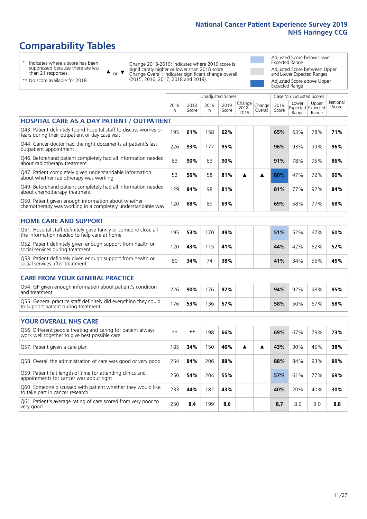# **Comparability Tables**

\* Indicates where a score has been suppressed because there are less than 21 responses.

\*\* No score available for 2018.

 $\triangle$  or  $\nabla$ 

Change 2018-2019: Indicates where 2019 score is significantly higher or lower than 2018 score Change Overall: Indicates significant change overall (2015, 2016, 2017, 2018 and 2019).

Adjusted Score below Lower Expected Range Adjusted Score between Upper and Lower Expected Ranges Adjusted Score above Upper Expected Range

|                                                                                                                       |           |               |            | <b>Unadjusted Scores</b> |                            |                   |               | Case Mix Adjusted Scores |                                     |                   |
|-----------------------------------------------------------------------------------------------------------------------|-----------|---------------|------------|--------------------------|----------------------------|-------------------|---------------|--------------------------|-------------------------------------|-------------------|
|                                                                                                                       | 2018<br>n | 2018<br>Score | 2019<br>n. | 2019<br>Score            | Change<br>$2018 -$<br>2019 | Change<br>Overall | 2019<br>Score | Lower<br>Range           | Upper<br>Expected Expected<br>Range | National<br>Score |
| <b>HOSPITAL CARE AS A DAY PATIENT / OUTPATIENT</b>                                                                    |           |               |            |                          |                            |                   |               |                          |                                     |                   |
| Q43. Patient definitely found hospital staff to discuss worries or<br>fears during their outpatient or day case visit | 195       | 61%           | 158        | 62%                      |                            |                   | 65%           | 63%                      | 78%                                 | 71%               |
| Q44. Cancer doctor had the right documents at patient's last<br>outpatient appointment                                | 226       | 93%           | 177        | 95%                      |                            |                   | 96%           | 93%                      | 99%                                 | 96%               |
| Q46. Beforehand patient completely had all information needed<br>about radiotherapy treatment                         | 63        | 90%           | 63         | 90%                      |                            |                   | 91%           | 78%                      | 95%                                 | 86%               |
| Q47. Patient completely given understandable information<br>about whether radiotherapy was working                    | 52        | 56%           | 58         | 81%                      | ▲                          | ▲                 | 80%           | 47%                      | 72%                                 | 60%               |
| Q49. Beforehand patient completely had all information needed<br>about chemotherapy treatment                         | 129       | 84%           | 98         | 81%                      |                            |                   | 81%           | 77%                      | 92%                                 | 84%               |
| Q50. Patient given enough information about whether<br>chemotherapy was working in a completely understandable way    | 120       | 68%           | 89         | 69%                      |                            |                   | 69%           | 58%                      | 77%                                 | 68%               |
| <b>HOME CARE AND SUPPORT</b>                                                                                          |           |               |            |                          |                            |                   |               |                          |                                     |                   |
| Q51. Hospital staff definitely gave family or someone close all<br>the information needed to help care at home        | 195       | 53%           | 170        | 49%                      |                            |                   | 51%           | 52%                      | 67%                                 | 60%               |
| Q52. Patient definitely given enough support from health or<br>social services during treatment                       | 120       | 43%           | 115        | 41%                      |                            |                   | 44%           | 42%                      | 62%                                 | 52%               |
| Q53. Patient definitely given enough support from health or<br>social services after treatment                        | 80        | 34%           | 74         | 38%                      |                            |                   | 41%           | 34%                      | 56%                                 | 45%               |
| <b>CARE FROM YOUR GENERAL PRACTICE</b>                                                                                |           |               |            |                          |                            |                   |               |                          |                                     |                   |
| Q54. GP given enough information about patient's condition<br>and treatment                                           | 226       | 90%           | 176        | 92%                      |                            |                   | 94%           | 92%                      | 98%                                 | 95%               |
| Q55. General practice staff definitely did everything they could<br>to support patient during treatment               | 176       | 53%           | 136        | 57%                      |                            |                   | 58%           | 50%                      | 67%                                 | 58%               |
| <b>YOUR OVERALL NHS CARE</b>                                                                                          |           |               |            |                          |                            |                   |               |                          |                                     |                   |
| Q56. Different people treating and caring for patient always<br>work well together to give best possible care         | $* *$     | $***$         | 198        | 66%                      |                            |                   | 69%           | 67%                      | 79%                                 | 73%               |
| Q57. Patient given a care plan                                                                                        | 185       | 34%           | 150        | 46%                      | ▲                          | ▲                 | 43%           | 30%                      | 45%                                 | 38%               |
| Q58. Overall the administration of care was good or very good                                                         | 254       | 84%           | 206        | 88%                      |                            |                   | 88%           | 84%                      | 93%                                 | 89%               |
| Q59. Patient felt length of time for attending clinics and<br>appointments for cancer was about right                 | 250       | 54%           | 204        | 55%                      |                            |                   | 57%           | 61%                      | 77%                                 | 69%               |
| Q60. Someone discussed with patient whether they would like<br>to take part in cancer research                        | 233       | 44%           | 182        | 43%                      |                            |                   | 40%           | 20%                      | 40%                                 | 30%               |
| Q61. Patient's average rating of care scored from very poor to<br>very good                                           | 250       | 8.4           | 199        | 8.6                      |                            |                   | 8.7           | 8.6                      | 9.0                                 | 8.8               |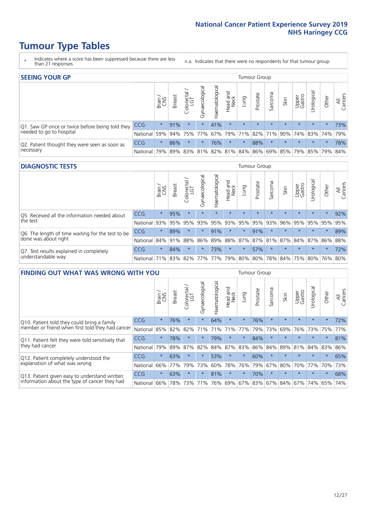- \* Indicates where a score has been suppressed because there are less than 21 responses.
- n.a. Indicates that there were no respondents for that tumour group.

| <b>SEEING YOUR GP</b>                           |            |              |               |                   |                    |                |                  |                     | <b>Tumour Group</b> |         |         |                 |                                                           |         |                |
|-------------------------------------------------|------------|--------------|---------------|-------------------|--------------------|----------------|------------------|---------------------|---------------------|---------|---------|-----------------|-----------------------------------------------------------|---------|----------------|
|                                                 |            | Brain<br>CNS | <b>Breast</b> | Colorectal<br>LGT | ᠊ᢛ<br>Gynaecologic | Haematological | Head and<br>Neck | Lung                | Prostate            | Sarcoma | Skin    | Upper<br>Gastro | Urological                                                | Other   | All<br>Cancers |
| Q1. Saw GP once or twice before being told they | <b>CCG</b> | $\star$      | 91%           | $\star$           | $\star$            | 41%            | $\star$          | $\star$             | $\star$             | $\star$ | $\star$ | $\star$         | $\star$                                                   | $\star$ | 73%            |
| needed to go to hospital                        | National   | 59%          |               | 94% 75%           |                    |                |                  | 77% 67% 79% 71% 82% |                     |         |         |                 | 71% 90% 74% 83% 74%                                       |         | 79%            |
| Q2. Patient thought they were seen as soon as   | <b>CCG</b> | $\star$      | 86%           | $\star$           | $\star$            | 76%            | $\star$          | $\star$             | 88%                 | $\star$ | $\star$ | $\star$         | $\star$                                                   | $\star$ | 78%            |
| necessary                                       | National   | 79%          |               | 89% 83%           |                    |                |                  |                     |                     |         |         |                 | 81%   82%   81%   84%   86%   69%   85%   79%   85%   79% |         | 84%            |

#### **DIAGNOSTIC TESTS** Tumour Group

|                                                   |                                          | Brain   | <b>Breast</b> | ╮<br>Colorectal | ᢛ<br>Gynaecologic | Haematological | Head and<br>Neck | Lung    | Prostate | Sarcoma | Skin    | Upper<br>Gastro | Irological                                  | Other   | All<br>Cancers |
|---------------------------------------------------|------------------------------------------|---------|---------------|-----------------|-------------------|----------------|------------------|---------|----------|---------|---------|-----------------|---------------------------------------------|---------|----------------|
| Q5. Received all the information needed about     | <b>CCG</b>                               | $\star$ | 95%           |                 | $\star$           | $\star$        | $\star$          | $\star$ | $\star$  | $\star$ | $\star$ | $\star$         | $\star$                                     | $\star$ | 92%            |
| the test                                          | National                                 | 93%     | 95%           | 95%             | 93%               | 95%            | 93%              | 95%     | 95%      | 93%     | 96%     | 95%             | 95%                                         | 95%     | 95%            |
| Q6. The length of time waiting for the test to be | <b>CCG</b>                               | $\star$ | 89%           | $\star$         | $\star$           | 91%            | $\star$          | $\star$ | 91%      | $\star$ | $\star$ | $\star$         | $\star$                                     | $\star$ | 89%            |
| done was about right                              | National                                 | 84%     | 91%           | 88%             |                   |                |                  |         |          |         |         |                 | 86% 89% 88% 87% 87% 81% 87% 84% 87% 86% 88% |         |                |
| Q7. Test results explained in completely          | <b>CCG</b>                               | $\star$ | 84%           | $\star$         | $\star$           | 73%            | $\star$          | $\star$ | 57%      | $\star$ | $\star$ | $\star$         | $\star$                                     | $\star$ | 72%            |
| understandable way                                | National 71% 83% 82% 77% 77% 79% 80% 80% |         |               |                 |                   |                |                  |         |          |         |         |                 | 78% 84% 75% 80% 76% 80%                     |         |                |

| <b>FINDING OUT WHAT WAS WRONG WITH YOU</b>        |            |         |               |                 |                |                |                        |                 | <b>Tumour Group</b> |         |         |                 |           |         |                |
|---------------------------------------------------|------------|---------|---------------|-----------------|----------------|----------------|------------------------|-----------------|---------------------|---------|---------|-----------------|-----------|---------|----------------|
|                                                   |            | Brain   | <b>Breast</b> | ╮<br>Colorectal | Gynaecological | Haematological | ad and<br>Neck<br>Head | Lung            | Prostate            | Sarcoma | Skin    | Upper<br>Gastro | Jrologica | Other   | All<br>Cancers |
| Q10. Patient told they could bring a family       | <b>CCG</b> | $\star$ | 76%           | $\star$         | $\star$        | 64%            | $\star$                | $\star$         | 76%                 | $\star$ | $\star$ | $\star$         | $\star$   | $\star$ | 72%            |
| member or friend when first told they had cancer  | National   | 85%     | 82%           | 82%             | 71%            | 71%            | 71%                    | 77%             | 79%                 | 73%     | 69%     | 76%             | 73% 75%   |         | 77%            |
| Q11. Patient felt they were told sensitively that | CCG        | $\star$ | 78%           | $\star$         | $\star$        | 79%            | $\star$                | $\star$         | 84%                 | $\star$ | $\star$ | $\star$         | $\star$   | $\star$ | 81%            |
| they had cancer                                   | National   | 79%     | 89%           | 87%             | 82%            | 84%            | 87%                    | 83%             | 86%                 | 84%     | 89%     | 81%             | 84% 83%   |         | 86%            |
| Q12. Patient completely understood the            | CCG        | $\star$ | 63%           |                 | $\star$        | 53%            | $\star$                | $\star$         | 60%                 | $\star$ | $\star$ | $\star$         | $\star$   | $\star$ | 65%            |
| explanation of what was wrong                     | National   | 66%     | 77%           | 79%             | 73%            | 60%            | 78%                    | 76%             | 79%                 | 67%     | 80%     | 70%             | 77%       | 70%     | 73%            |
| Q13. Patient given easy to understand written     | <b>CCG</b> | $\star$ | 63%           | $\star$         | $\star$        | 81%            | $\ast$                 | $\star$         | 70%                 | $\star$ | $\star$ | $\star$         | $\star$   | $\ast$  | 68%            |
| information about the type of cancer they had     | National   | 66%     | 78%           | 73%             | 71%            | 76%            |                        | 69%   67%   83% |                     |         | 67% 84% | 67%             | 74%       | 65%     | 74%            |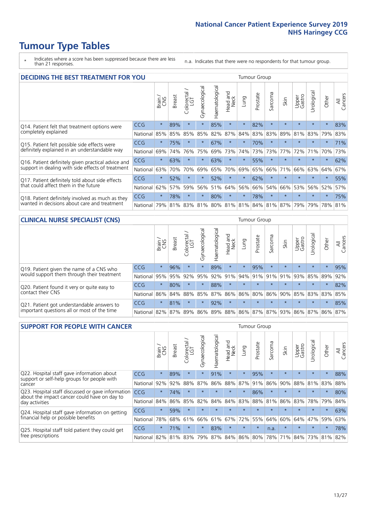- \* Indicates where a score has been suppressed because there are less than 21 responses.
- n.a. Indicates that there were no respondents for that tumour group.

| <b>DECIDING THE BEST TREATMENT FOR YOU</b>         |            |         |               |                             |                |                |                         |         | <b>Tumour Group</b> |                          |                                     |                 |            |         |                |
|----------------------------------------------------|------------|---------|---------------|-----------------------------|----------------|----------------|-------------------------|---------|---------------------|--------------------------|-------------------------------------|-----------------|------------|---------|----------------|
|                                                    |            | Brain   | <b>Breast</b> | olorectal.<br>LGT<br>$\cup$ | Gynaecological | Haematological | ead and<br>Neck<br>Head | Lung    | Prostate            | arcoma<br>$\overline{2}$ | Skin                                | Upper<br>Gastro | Jrological | Other   | All<br>Cancers |
| Q14. Patient felt that treatment options were      | CCG        | $\star$ | 89%           | $\star$                     | $\star$        | 85%            | $\star$                 | $\star$ | 82%                 | $\star$                  | $\star$                             | $\star$         | $\star$    | $\star$ | 83%            |
| completely explained                               | National   | 85%     | 85%           | 85%                         | 85%            | 82%            | 87%                     | 84%     | 83%                 | 83%                      | 89%                                 | 81%             | 83%        | 79%     | 83%            |
| Q15. Patient felt possible side effects were       | CCG        | $\star$ | 75%           |                             | $\star$        | 67%            | $\star$                 | $\star$ | 70%                 | $\star$                  |                                     | $\star$         | $\star$    | $\star$ | 71%            |
| definitely explained in an understandable way      | National   | 69%     | 74%           | 76%                         | 75%            | 69%            | 73%                     | 74%     | 73%                 | 73%                      | 77%                                 | 72%             | 71%        | 70%     | 73%            |
| Q16. Patient definitely given practical advice and | CCG        | $\star$ | 63%           |                             | $\star$        | 63%            | $\star$                 | $\star$ | 55%                 | $\star$                  |                                     | $\star$         | $\star$    | $\star$ | 62%            |
| support in dealing with side effects of treatment  | National   | 63%     | 70%           | 70%                         | 69%            | 65%            | 70%                     | 69%     | 65%                 | 66%                      | 71%                                 | 66%             | 63%        | 64%     | 67%            |
| Q17. Patient definitely told about side effects    | <b>CCG</b> | $\star$ | 52%           |                             | $\star$        | 52%            | $\star$                 | $\star$ | 62%                 | $\star$                  |                                     | $\star$         | $\star$    | $\star$ | 55%            |
| that could affect them in the future               | National   | 62%     | 57%           | 59%                         | 56%            | 51%            | 64%                     | 56%     | 66%                 | 54%                      | 66%                                 | 53%             | 56%        | 52%     | 57%            |
| Q18. Patient definitely involved as much as they   | CCG        | $\star$ | 78%           | $\star$                     | $\star$        | 80%            | $\star$                 | $\star$ | 78%                 | $\star$                  | $\star$                             | $\star$         | $\star$    | $\star$ | 75%            |
| wanted in decisions about care and treatment       | National   | 79%     | 81%           |                             |                |                |                         |         |                     |                          | 83% 81% 80% 81% 81% 84% 81% 87% 79% |                 | 79%        | 78% 81% |                |

#### **CLINICAL NURSE SPECIALIST (CNS)** Tumour Group

|                                             |                                                                  | Brain   | <b>Breast</b>   | Colorectal<br>LGT | Gynaecologica | ক<br>O<br>aematologi | Head and<br>Neck | Lung    | Prostate | Sarcoma | Skin    | Upper<br>Gastro                     | $\sigma$<br>rologica | Other   | All<br>Cancers |
|---------------------------------------------|------------------------------------------------------------------|---------|-----------------|-------------------|---------------|----------------------|------------------|---------|----------|---------|---------|-------------------------------------|----------------------|---------|----------------|
| Q19. Patient given the name of a CNS who    | CCG                                                              | $\star$ | 96%             |                   |               | 89%                  | $\star$          |         | 95%      | $\star$ | $\star$ | $\star$                             | $\star$              | $\star$ | 95%            |
| would support them through their treatment  | National                                                         | 95%     | 95%             | 92%               | 95%           | 92%                  | 91%              | 94% 91% |          |         | 91% 91% | 93%                                 | 85%                  | 89%     | 92%            |
| Q20. Patient found it very or quite easy to | <b>CCG</b>                                                       | $\star$ | 80%             |                   | $\star$       | 88%                  | $\star$          | $\star$ | $\star$  | $\star$ | $\star$ | $\star$                             | $\star$              | $\star$ | 82%            |
| contact their CNS                           | National                                                         |         | 86% 84% 88% 85% |                   |               |                      |                  |         |          |         |         | 87% 86% 86% 80% 86% 90% 85% 83% 83% |                      |         | 85%            |
| Q21. Patient got understandable answers to  | CCG                                                              | $\star$ | 81%             |                   | $\star$       | 92%                  | $\star$          | $\star$ | $\star$  | $\star$ | $\star$ | $\star$                             | $\star$              | $\star$ | 85%            |
| important questions all or most of the time | National 82% 87% 89% 86% 89% 88% 86% 87% 87% 93% 86% 87% 86% 87% |         |                 |                   |               |                      |                  |         |          |         |         |                                     |                      |         |                |

| <b>SUPPORT FOR PEOPLE WITH CANCER</b>                                                             |            |         |               |                        |                |                |                        |             | <b>Tumour Group</b> |              |         |                 |           |         |                |
|---------------------------------------------------------------------------------------------------|------------|---------|---------------|------------------------|----------------|----------------|------------------------|-------------|---------------------|--------------|---------|-----------------|-----------|---------|----------------|
|                                                                                                   |            | Brain   | <b>Breast</b> | olorectal.<br>LGT<br>Ũ | Gynaecological | Haematological | ad and<br>Neck<br>Head | Lung        | Prostate            | arcoma<br>ιñ | Skin    | Upper<br>Gastro | Jrologica | Other   | All<br>Cancers |
| Q22. Hospital staff gave information about<br>support or self-help groups for people with         | <b>CCG</b> | $\star$ | 89%           | $\star$                | $\star$        | 91%            | $\star$                | $\star$     | 95%                 | $\star$      | $\star$ | $\star$         | $\star$   | $\star$ | 88%            |
| cancer                                                                                            | National   | 92%     | 92%           | 88%                    | 87%            | 86%            | 88%                    | 87%         | 91%                 | 86%          | 90%     | 88%             | 81%       | 83%     | 88%            |
| Q23. Hospital staff discussed or gave information<br>about the impact cancer could have on day to | CCG        | $\star$ | 74%           | $\star$                | $\star$        | $\star$        | $\star$                | $\star$     | 86%                 | $\star$      | $\star$ | $\star$         | $\star$   | $\star$ | 80%            |
| day activities                                                                                    | National   | 84%     | 86%           | 85%                    | 82%            | 84%            | 84%                    | 83%         | 88%                 | 81%          | 86%     | 83%             | 78%       | 79%     | 84%            |
| Q24. Hospital staff gave information on getting                                                   | CCG        | $\star$ | 59%           | $\star$                | $\star$        | $\star$        | $\star$                | $\star$     | $\star$             | $\star$      | $\star$ | $\star$         | $\star$   | $\ast$  | 63%            |
| financial help or possible benefits                                                               | National   | 78%     | 68%           | 61%                    | 66%            | 61%            | 67%                    | 72%         | 55%                 | 64%          | 60%     | 64%             | 47%       | 59%     | 63%            |
| Q25. Hospital staff told patient they could get                                                   | <b>CCG</b> | $\star$ | 71%           | $\star$                | $\star$        | 83%            | $\star$                | $\star$     | $\star$             | n.a.         | $\star$ | $\star$         | $\star$   | $\ast$  | 78%            |
| free prescriptions                                                                                | National   | 82%     |               | 81% 83%                | 79%            | 87%            |                        | 84% 86% 80% |                     | 78%          | 71%     | 84%             | 73%       | 81%     | 82%            |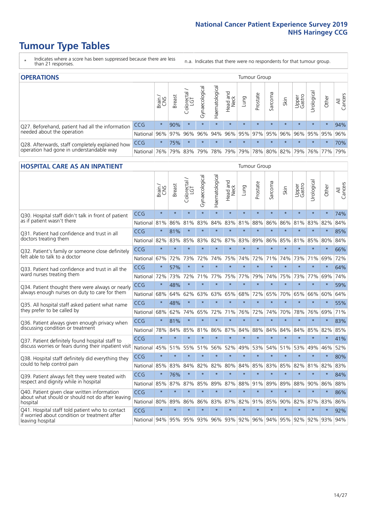- \* Indicates where a score has been suppressed because there are less than 21 responses.
- n.a. Indicates that there were no respondents for that tumour group.

| <b>OPERATIONS</b>                                |                      |              |               |                   |                |                 |                  |             | Tumour Group        |         |         |                 |                                                 |           |                |
|--------------------------------------------------|----------------------|--------------|---------------|-------------------|----------------|-----------------|------------------|-------------|---------------------|---------|---------|-----------------|-------------------------------------------------|-----------|----------------|
|                                                  |                      | Brain<br>CNS | <b>Breast</b> | Colorectal<br>LGT | Gynaecological | Haematological  | Head and<br>Neck | <b>Gunn</b> | Prostate            | Sarcoma | Skin    | Upper<br>Gastro | Urologica                                       | Other     | All<br>Cancers |
| Q27. Beforehand, patient had all the information | CCG                  | $\star$      | 90%           | $\star$           | $\star$        | $\star$         | $\star$          | $\star$     | $\star$             | $\star$ | $\star$ | $\star$         | $\star$                                         | $\star$   | 94%            |
| needed about the operation                       | National 96% 97% 96% |              |               |                   |                |                 |                  |             |                     |         |         |                 | 96% 94% 96% 95% 97% 95% 96% 96% 95% 95% 95% 96% |           |                |
| Q28. Afterwards, staff completely explained how  | <b>CCG</b>           | $\star$      | 75%           | $\star$           | $\star$        | $\star$         | $\star$          | $\star$     | $\star$             | $\star$ | $\star$ | $\star$         | $\star$                                         | $\star$   | 70%            |
| operation had gone in understandable way         | National I           | 76%          |               | 79% 83%           |                | 79%   78%   79% |                  |             | 79% 78% 80% 82% 79% |         |         |                 |                                                 | 76%   77% | 79%            |

#### **HOSPITAL CARE AS AN INPATIENT** Tumour Group

|                                                                                                  |            | Brain   | Breast  | Colorectal /<br>LGT | Gynaecological | Haematological | Head and<br>Neck | Lung        | Prostate | Sarcoma | Skin    | Upper<br>Gastro | Urological | Other   | All<br>Cancers |
|--------------------------------------------------------------------------------------------------|------------|---------|---------|---------------------|----------------|----------------|------------------|-------------|----------|---------|---------|-----------------|------------|---------|----------------|
| Q30. Hospital staff didn't talk in front of patient                                              | CCG        | $\star$ | $\star$ | $\star$             | $\star$        | $\star$        | $\star$          | $\star$     | $\star$  | $\star$ | $\star$ | $\star$         | $\star$    | $\star$ | 74%            |
| as if patient wasn't there                                                                       | National   | 81%     | 86%     | 81%                 | 83%            | 84%            | 83%              | 81%         | 88%      | 86%     | 86%     | 81%             | 83%        | 82%     | 84%            |
| Q31. Patient had confidence and trust in all                                                     | CCG        | $\star$ | 81%     | $\star$             | $\star$        | $\star$        | $\star$          | $\star$     | $\star$  | $\star$ | $\star$ | $\star$         | $\star$    | $\star$ | 85%            |
| doctors treating them                                                                            | National   | 82%     | 83%     | 85%                 | 83%            | 82%            |                  | 87% 83%     | 89%      | 86%     | 85%     | 81%             | 85%        | 80%     | 84%            |
| Q32. Patient's family or someone close definitely                                                | CCG        | $\star$ | $\star$ | $\star$             | $\star$        | $\star$        | $\star$          | $\star$     | $\star$  | $\star$ | $\star$ | $\star$         | $\star$    | $\star$ | 66%            |
| felt able to talk to a doctor                                                                    | National   | 67%     | 72%     | 73%                 | 72%            | 74%            | 75%              | 74%         | 72%      | 71%     | 74%     | 73%             | 71%        | 69%     | 72%            |
| Q33. Patient had confidence and trust in all the                                                 | CCG        | $\star$ | 57%     | $\star$             | $\star$        | $\star$        | $\star$          | $\star$     | $\star$  | $\star$ | $\star$ | $\star$         | $\star$    | $\star$ | 64%            |
| ward nurses treating them                                                                        | National   | 72%     | 73%     | 72%                 | 71%            | 77%            | 75%              | 77%         | 79%      | 74%     | 75%     | 73%             | 77%        | 69%     | 74%            |
| Q34. Patient thought there were always or nearly                                                 | CCG        | $\star$ | 48%     | $\star$             | $\star$        | $\star$        | $\star$          | $\star$     | $\star$  | $\star$ | $\star$ | $\star$         | $\star$    | $\star$ | 59%            |
| always enough nurses on duty to care for them                                                    | National   | 68%     | 64%     | 62%                 | 63%            | 63%            | 65%              | 68%         | 72%      | 65%     | 70%     | 65%             | 66%        | 60%     | 64%            |
| Q35. All hospital staff asked patient what name                                                  | CCG        | $\star$ | 48%     | $\star$             | $\star$        | $\star$        | $\star$          | $\star$     | $\star$  | $\star$ | $\star$ | $\star$         | $\star$    | $\star$ | 55%            |
| they prefer to be called by                                                                      | National   | 68%     | 62%     | 74%                 | 65%            | 72%            | 71%              | 76%         | 72%      | 74%     | 70%     | 78%             | 76%        | 69%     | 71%            |
| Q36. Patient always given enough privacy when                                                    | CCG        | $\star$ | 81%     | $\star$             | $\star$        | $\star$        | $\star$          | $\star$     | $\star$  | $\star$ | $\star$ | $\star$         | $\star$    | $\star$ | 83%            |
| discussing condition or treatment                                                                | National   | 78%     | 84%     | 85%                 | 81%            | 86%            | 87%              | 84%         | 88%      | 84%     | 84%     | 84%             | 85%        | 82%     | 85%            |
| Q37. Patient definitely found hospital staff to                                                  | <b>CCG</b> | $\star$ | $\star$ | $\star$             | $\star$        | $\star$        | $\star$          | $\star$     | $\star$  | $\star$ | $\star$ | $\star$         | $\star$    | $\star$ | 41%            |
| discuss worries or fears during their inpatient visit                                            | National   | 45%     | 51%     | 55%                 | 51%            | 56%            | 52%              | 49%         | 53%      | 54%     | 51%     | 53%             | 49%        | 46%     | 52%            |
| Q38. Hospital staff definitely did everything they                                               | CCG        | $\star$ | $\star$ | $\star$             | $\star$        | $\star$        | $\star$          | $\star$     | $\star$  | $\star$ | $\star$ | $\star$         | $\star$    | $\star$ | 80%            |
| could to help control pain                                                                       | National   | 85%     | 83%     | 84%                 | 82%            | 82%            | 80%              | 84%         | 85%      | 83%     | 85%     | 82%             | 81%        | 82%     | 83%            |
| Q39. Patient always felt they were treated with                                                  | CCG        | $\star$ | 76%     | $\star$             | $\star$        | $\star$        | $\star$          | $\star$     | $\star$  | $\star$ | $\star$ | $\star$         | $\star$    | $\star$ | 84%            |
| respect and dignity while in hospital                                                            | National   | 85%     | 87%     | 87%                 | 85%            | 89%            |                  | 87% 88%     | 91%      | 89%     | 89%     | 88%             | 90%        | 86%     | 88%            |
| Q40. Patient given clear written information<br>about what should or should not do after leaving | CCG        | $\star$ | $\star$ | $\star$             | $\star$        | $\star$        | $\star$          | $\star$     | $\star$  | $\star$ | $\star$ | $\star$         | $\star$    | $\star$ | 86%            |
| hospital                                                                                         | National   | 80%     | 89%     | 86%                 | 86%            | 83%            |                  | 87% 82%     | 91%      | 85%     | 90%     | 82%             | 87%        | 83%     | 86%            |
| Q41. Hospital staff told patient who to contact<br>if worried about condition or treatment after | CCG        | $\star$ | $\star$ | $\star$             | $\star$        | $\star$        | $\star$          | $\star$     | $\star$  | $\star$ | $\star$ | $\star$         | $\star$    | $\star$ | 92%            |
| leaving hospital                                                                                 | National   | 94%     | 95%     | 95% 93%             |                |                |                  | 96% 93% 92% |          | 96% 94% |         | 95% 92%         | 92%        | 93%     | 94%            |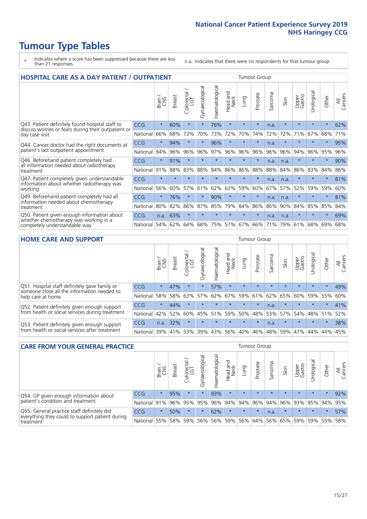- \* Indicates where a score has been suppressed because there are less than 21 responses.
- n.a. Indicates that there were no respondents for that tumour group.

| <b>HOSPITAL CARE AS A DAY PATIENT / OUTPATIENT</b>                                                                    |            |         |               |                       |                |                |                         |         | <b>Tumour Group</b> |                          |         |                 |            |         |                |  |  |  |  |  |  |  |  |
|-----------------------------------------------------------------------------------------------------------------------|------------|---------|---------------|-----------------------|----------------|----------------|-------------------------|---------|---------------------|--------------------------|---------|-----------------|------------|---------|----------------|--|--|--|--|--|--|--|--|
|                                                                                                                       |            | Brain   | <b>Breast</b> | olorectal<br>LGT<br>Ū | Gynaecological | Haematological | ead and<br>Neck<br>Head | Lung    | Prostate            | arcoma<br>$\overline{C}$ | Skin    | Upper<br>Gastro | Urological | Other   | All<br>Cancers |  |  |  |  |  |  |  |  |
| Q43. Patient definitely found hospital staff to                                                                       | CCG        | $\star$ | 60%           | $\star$               | $\star$        | 76%            | $\star$                 | $\star$ | $\star$             | n.a.                     | $\star$ | $\star$         | $\star$    | $\star$ | 62%            |  |  |  |  |  |  |  |  |
| discuss worries or fears during their outpatient or<br>day case visit                                                 | National   | 66%     | 68%           | 73%                   | 70%            | 73%            | 72%                     | 70%     | 74%                 | 72%                      | 72%     | 71%             | 67%        | 68%     | 71%            |  |  |  |  |  |  |  |  |
| Q44. Cancer doctor had the right documents at<br>patient's last outpatient appointment                                | CCG        | $\star$ | 94%           |                       | $^\star$       | 96%            | $\star$                 | $\star$ | $\star$             | n.a.                     |         |                 | $\star$    | $\ast$  | 95%            |  |  |  |  |  |  |  |  |
|                                                                                                                       | National   | 94%     | 96%           | 96%                   | 96%            | 97%            | 96%                     | 96%     | 96%                 | 96%                      | 96%     | 94%             | 96%        | 95%     | 96%            |  |  |  |  |  |  |  |  |
| Q46. Beforehand patient completely had<br>all information needed about radiotherapy                                   | <b>CCG</b> | $\star$ | 91%           | $\star$               | $\star$        |                | $\star$                 | $\star$ | $\star$             | n.a.                     | n.a.    | $\star$         | $\star$    | $\ast$  | 90%            |  |  |  |  |  |  |  |  |
| treatment                                                                                                             | National   | 91%     | 88%           | 83%                   | 88%            | 84%            | 86%                     | 86%     | 88%                 | 88%                      | 84%     | 86%             | 83%        | 84%     | 86%            |  |  |  |  |  |  |  |  |
| Q47. Patient completely given understandable                                                                          | CCG        | $\star$ | $\star$       |                       |                |                | $\star$                 | $\star$ | $\star$             | n.a.                     | n.a.    | $\star$         | $\star$    | $\ast$  | 81%            |  |  |  |  |  |  |  |  |
| information about whether radiotherapy was<br>working                                                                 | National   | 56%     | 60%           | 57%                   | 61%            | 62%            | 63%                     | 59%     | 60%                 | 67%                      | 57%     | 52%             | 59%        | 59%     | 60%            |  |  |  |  |  |  |  |  |
| Q49. Beforehand patient completely had all                                                                            | CCG        | $\star$ | 76%           |                       | $^\star$       | 90%            | $\star$                 | $\star$ | $\star$             | n.a.                     | n.a.    | $\star$         | $\star$    | $\ast$  | 81%            |  |  |  |  |  |  |  |  |
| information needed about chemotherapy<br>treatment                                                                    | National   | 80%     | 82%           | 86%                   | 87%            | 85%            | 79%                     | 84%     | 86%                 | 86%                      | 90%     | 84%             | 85%        | 85%     | 84%            |  |  |  |  |  |  |  |  |
| Q50. Patient given enough information about<br>whether chemotherapy was working in a<br>completely understandable way | <b>CCG</b> | n.a.    | 63%           | $\star$               |                | ÷              | $\star$                 | $\star$ | $\star$             | n.a.                     | n.a.    | $\star$         | ÷          | $\star$ | 69%            |  |  |  |  |  |  |  |  |
|                                                                                                                       | National   | 54%     | 62%           | 64%                   | 68%            | 75%            |                         | 57% 67% | 66%                 | 71%                      | 79%     | 61%             | 68%        | 69%     | 68%            |  |  |  |  |  |  |  |  |

#### **HOME CARE AND SUPPORT** Tumour Group

|                                                                                                                   |            | Brain   | Breast  | Colorectal<br>LGT | ᢛ<br>Gynaecologic | Haematological | Head and<br>Neck | <b>Dung</b> | Prostate | Sarcoma | Skin    | Upper<br>Gastro | rologica | Other   | All<br>Cancers |
|-------------------------------------------------------------------------------------------------------------------|------------|---------|---------|-------------------|-------------------|----------------|------------------|-------------|----------|---------|---------|-----------------|----------|---------|----------------|
| Q51. Hospital staff definitely gave family or<br>someone close all the information needed to<br>help care at home | <b>CCG</b> | $\star$ | 47%     | $\star$           | $\star$           | 57%            | $\star$          | $\star$     | $\star$  | $\star$ | $\star$ | $\star$         | $\star$  | $\star$ | 49%            |
|                                                                                                                   | National   | 58%     | 58%     | 63%               | 57%               | 62%            | 67%              | 59%         | 61%      |         | 62% 65% | 60%             | 59% 55%  |         | 60%            |
| Q52. Patient definitely given enough support<br>from health or social services during treatment                   | <b>CCG</b> | $\star$ | 44%     |                   | $\star$           |                | $\star$          | $\star$     | $\star$  | n.a.    | $\star$ | $\star$         | $\star$  | $\star$ | 41%            |
|                                                                                                                   | National   | 42%     | 52%     | 60%               |                   | 45% 51%        | 59%              | 50%         | 48%      |         | 53% 57% | 54%             | 48% 51%  |         | 52%            |
| Q53. Patient definitely given enough support<br>from health or social services after treatment                    | <b>CCG</b> | n.a.    | 32%     |                   | $\star$           | $\star$        | $\star$          | $\star$     | $\star$  | n.a.    |         | $\star$         | $\star$  | $\star$ | 38%            |
|                                                                                                                   | National   | 39%     | 41% 53% |                   | 39%               | $ 43\% $       | 56%              | 40%         | 46%      | 48%     | 59%     | 47%             | 44%      | 44%     | 45%            |

| <b>CARE FROM YOUR GENERAL PRACTICE</b>                                                                     |              | Tumour Group |               |                   |                |                                     |                  |         |          |         |         |                             |           |         |                |
|------------------------------------------------------------------------------------------------------------|--------------|--------------|---------------|-------------------|----------------|-------------------------------------|------------------|---------|----------|---------|---------|-----------------------------|-----------|---------|----------------|
|                                                                                                            |              | Brain        | <b>Breast</b> | Colorectal<br>LGT | Gynaecological | $\overline{\sigma}$<br>Haematologic | Head and<br>Neck | Lung    | Prostate | Sarcoma | Skin    | Upper<br>Gastro             | Urologica | Other   | All<br>Cancers |
| Q54. GP given enough information about<br>patient's condition and treatment                                | <b>CCG</b>   | $\star$      | 95%           | $\star$           | $\star$        | 93%                                 | $\star$          | $\star$ | $\star$  | $\star$ | $\star$ | $\star$                     | $\star$   | $\star$ | 92%            |
|                                                                                                            | National 91% |              |               | 96% 95%           | 95%            |                                     | 96% 94% 94% 96%  |         |          |         |         | 94% 96% 93% 95% 94%         |           |         | 95%            |
| Q55. General practice staff definitely did<br>everything they could to support patient during<br>treatment | <b>CCG</b>   | $\star$      | 50%           | $\star$           | $\star$        | 62%                                 | $\star$          | $\star$ | $\star$  | n.a.    | $\star$ | $\star$                     | $\star$   | $\star$ | 57%            |
|                                                                                                            | National     | 55%          |               | 58% 59%           | 56%            |                                     | 56% 59%          |         |          |         |         | 56% 64% 56% 65% 59% 59% 55% |           |         | 58%            |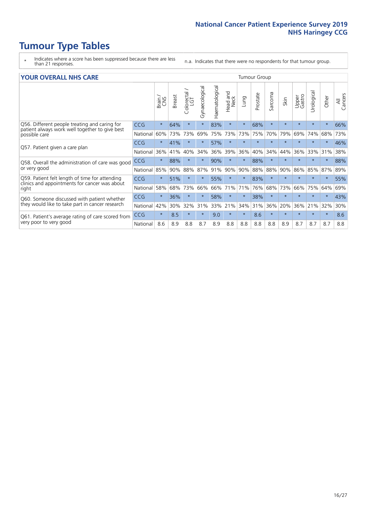- \* Indicates where a score has been suppressed because there are less than 21 responses.
- n.a. Indicates that there were no respondents for that tumour group.

#### **YOUR OVERALL NHS CARE** THE CONSTRUCTION OF THE THROUP GROUP TUMOUR GROUP

|            | Brain<br>CNS                                                                                          | <b>Breast</b> | Colorectal /<br>LGT | Gynaecological | Haematological | <b>Bad and</b><br>Neck<br>Head | Lung    | Prostate | arcoma<br>$\sqrt{ }$ | Skin    | Upper<br>Gastro | ෆී<br>Urologia | Other    | All<br>Cancers |  |  |  |  |  |
|------------|-------------------------------------------------------------------------------------------------------|---------------|---------------------|----------------|----------------|--------------------------------|---------|----------|----------------------|---------|-----------------|----------------|----------|----------------|--|--|--|--|--|
| <b>CCG</b> | $\star$                                                                                               | 64%           | $\star$             | $\star$        | 83%            | $\star$                        | $\star$ | 68%      | $\star$              | $\star$ | $\star$         | $\star$        | $\ast$   | 66%            |  |  |  |  |  |
| National   | 60%                                                                                                   | 73%           | 73%                 | 69%            | 75%            | 73%                            | 73%     | 75%      | 70%                  | 79%     | 69%             | 74%            | 68%      | 73%            |  |  |  |  |  |
| <b>CCG</b> | $\star$                                                                                               | 41%           | $\star$             | $\star$        | 57%            | $\ast$                         | $\star$ | $\star$  | $\star$              | $\star$ | $\star$         | $\star$        | $\ast$   | 46%            |  |  |  |  |  |
| National   | 36%                                                                                                   | 41%           | 40%                 | 34%            | 36%            | 39%                            | 36%     | 40%      | 34%                  | 44%     | 36%             | 33%            | 31%      | 38%            |  |  |  |  |  |
| <b>CCG</b> | $\star$                                                                                               | 88%           | $\star$             |                | 90%            | $\ast$                         | $\star$ | 88%      | $\star$              | $\star$ |                 |                |          | 88%            |  |  |  |  |  |
| National   | 85%                                                                                                   | 90%           | 88%                 | 87%            | 91%            | 90%                            | 90%     | 88%      | 88%                  | 90%     | 86%             | 85%            | 87%      | 89%            |  |  |  |  |  |
| <b>CCG</b> | $\star$                                                                                               | 51%           | $\star$             | $\star$        | 55%            | $\star$                        | $\star$ | 83%      | $\star$              | $\star$ | $\star$         | $\star$        | $^\star$ | 55%            |  |  |  |  |  |
| National   | 58%                                                                                                   | 68%           | 73%                 | 66%            | 66%            | 71%                            | 71%     | 76%      | 68%                  | 73%     | 66%             | 75%            | 64%      | 69%            |  |  |  |  |  |
| <b>CCG</b> | $\star$                                                                                               | 36%           | $\star$             |                | 58%            | $\star$                        | $\star$ | 38%      | $\star$              | $\star$ |                 |                | $\star$  | 43%            |  |  |  |  |  |
| National   | 42%                                                                                                   | 30%           | 32%                 | 31%            | 33%            | 21%                            | 34%     | 31%      | 36%                  | 20%     | 36%             | 21%            | 32%      | 30%            |  |  |  |  |  |
| <b>CCG</b> | $\star$                                                                                               | 8.5           | $\star$             | $\star$        | 9.0            | $\star$                        | $\star$ | 8.6      | $\star$              | $\star$ | $\star$         |                | $\star$  | 8.6            |  |  |  |  |  |
| National   | 8.6                                                                                                   | 8.9           | 8.8                 | 8.7            | 8.9            | 8.8                            | 8.8     | 8.8      | 8.8                  | 8.9     | 8.7             | 8.7            | 8.7      | 8.8            |  |  |  |  |  |
|            | Q58. Overall the administration of care was good<br>Q61. Patient's average rating of care scored from |               |                     |                |                |                                |         |          |                      |         |                 |                |          |                |  |  |  |  |  |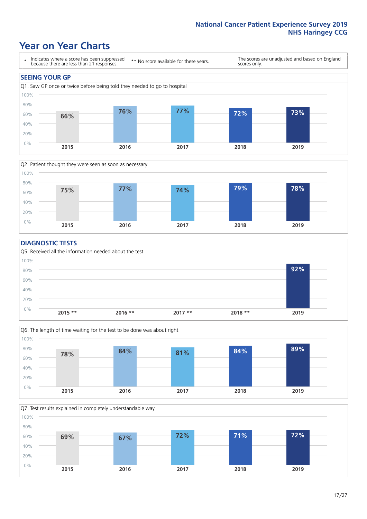### **Year on Year Charts**





#### **DIAGNOSTIC TESTS**





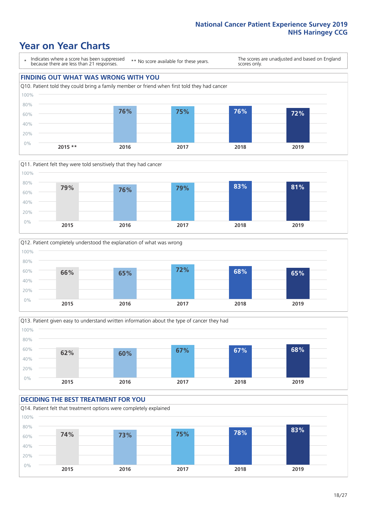### **Year on Year Charts**

\* Indicates where a score has been suppressed because there are less than 21 responses.

\*\* No score available for these years.

The scores are unadjusted and based on England scores only.









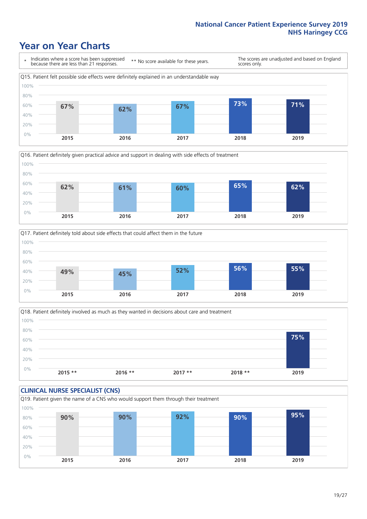### **Year on Year Charts**







Q18. Patient definitely involved as much as they wanted in decisions about care and treatment  $0%$ 20% 40% 60% 80% 100% **2015 \*\* 2016 \*\* 2017 \*\* 2018 \*\* 2019 75%**

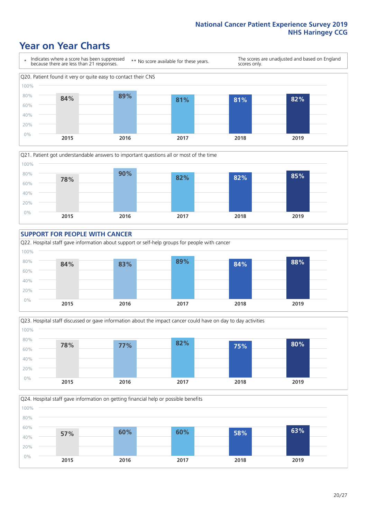### **Year on Year Charts**











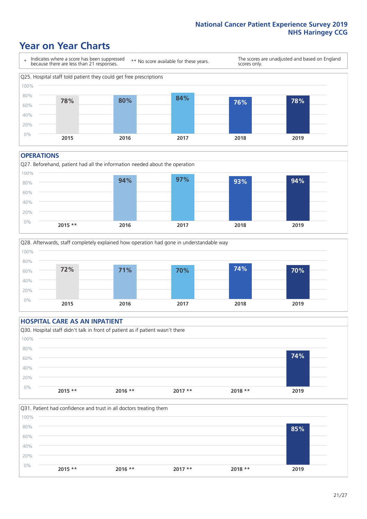### **Year on Year Charts**



#### **OPERATIONS**





#### **HOSPITAL CARE AS AN INPATIENT** Q30. Hospital staff didn't talk in front of patient as if patient wasn't there 0% 20% 40% 60% 80% 100% **2015 \*\* 2016 \*\* 2017 \*\* 2018 \*\* 2019 74%**

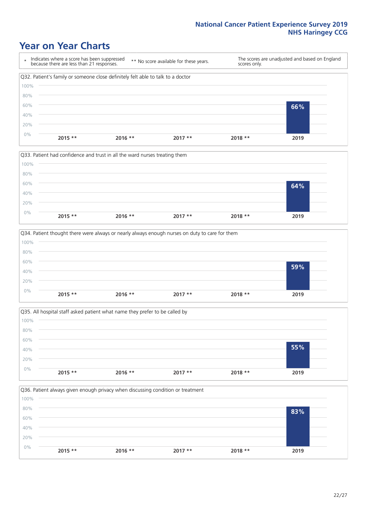### **Year on Year Charts**









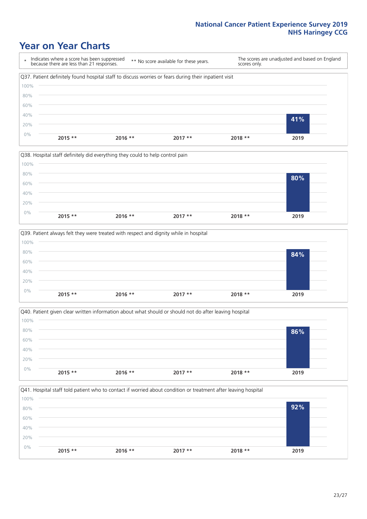### **Year on Year Charts**









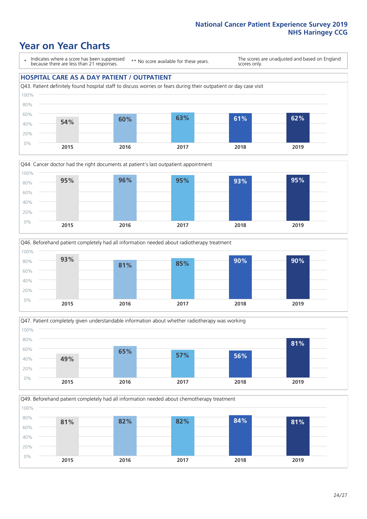### **Year on Year Charts**

\* Indicates where a score has been suppressed because there are less than 21 responses.

\*\* No score available for these years.

The scores are unadjusted and based on England scores only.

#### **HOSPITAL CARE AS A DAY PATIENT / OUTPATIENT**









Q49. Beforehand patient completely had all information needed about chemotherapy treatment

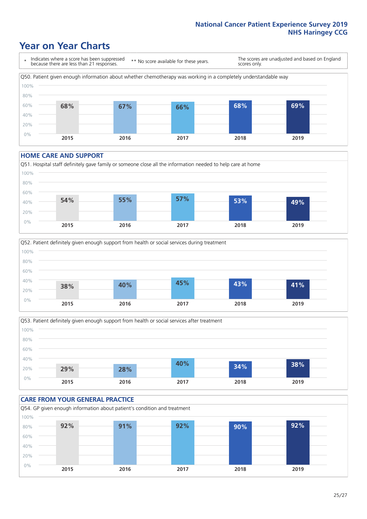### **Year on Year Charts**

\* Indicates where a score has been suppressed because there are less than 21 responses. \*\* No score available for these years. The scores are unadjusted and based on England scores only. Q50. Patient given enough information about whether chemotherapy was working in a completely understandable way 0% 20% 40% 60% 80% 100% **2015 2016 2017 2018 2019 68% 67% 66% 68% 69%**

#### **HOME CARE AND SUPPORT**







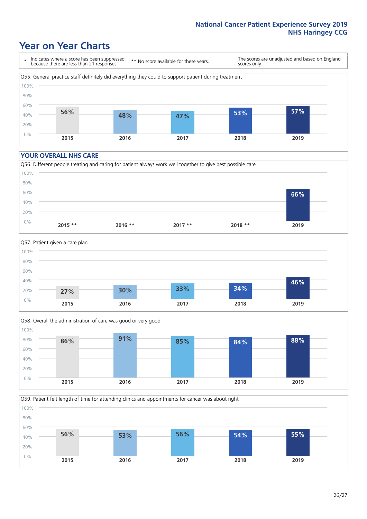### **Year on Year Charts**

\* Indicates where a score has been suppressed because there are less than 21 responses.

\*\* No score available for these years.

The scores are unadjusted and based on England scores only.



#### **YOUR OVERALL NHS CARE**







Q59. Patient felt length of time for attending clinics and appointments for cancer was about right